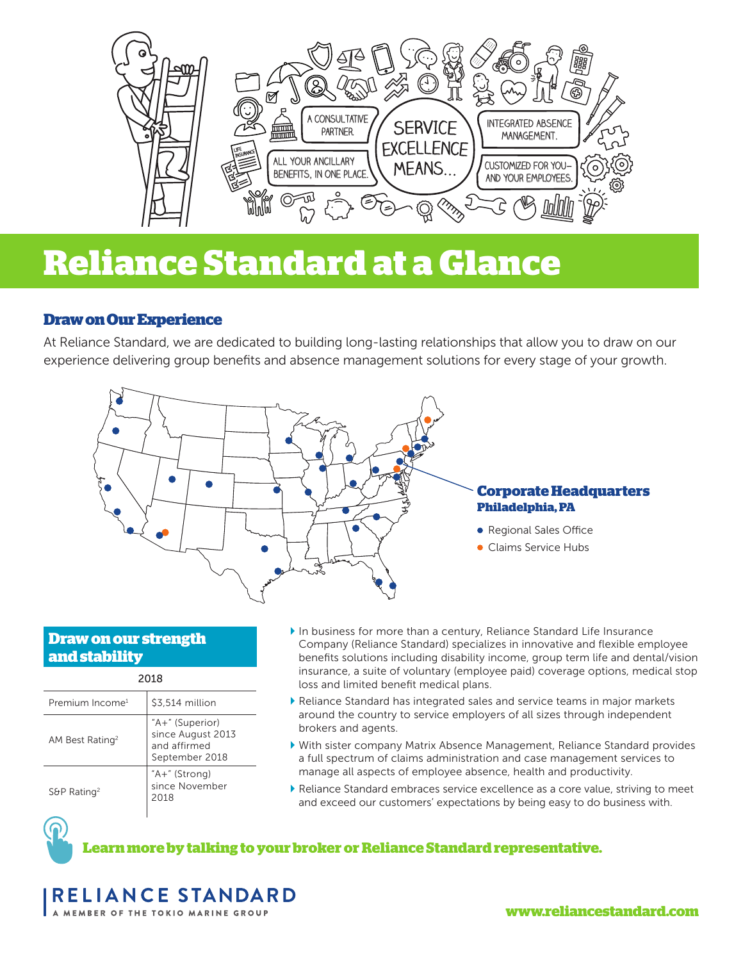

# **Reliance Standard at a Glance**

# **Draw on Our Experience**

At Reliance Standard, we are dedicated to building long-lasting relationships that allow you to draw on our experience delivering group benefits and absence management solutions for every stage of your growth.



# **Draw on our strength and stability**

| Premium Income <sup>1</sup>     | \$3,514 million                                                        |  |  |  |  |  |  |  |
|---------------------------------|------------------------------------------------------------------------|--|--|--|--|--|--|--|
| AM Best Rating <sup>2</sup>     | "A+" (Superior)<br>since August 2013<br>and affirmed<br>September 2018 |  |  |  |  |  |  |  |
| $S\theta P$ Rating <sup>2</sup> | $A +$ " (Strong)<br>since November<br>2018                             |  |  |  |  |  |  |  |

2222

- In business for more than a century, Reliance Standard Life Insurance Company (Reliance Standard) specializes in innovative and flexible employee benefits solutions including disability income, group term life and dental/vision insurance, a suite of voluntary (employee paid) coverage options, medical stop loss and limited benefit medical plans.
- Reliance Standard has integrated sales and service teams in major markets around the country to service employers of all sizes through independent brokers and agents.
- With sister company Matrix Absence Management, Reliance Standard provides a full spectrum of claims administration and case management services to manage all aspects of employee absence, health and productivity.
- Reliance Standard embraces service excellence as a core value, striving to meet and exceed our customers' expectations by being easy to do business with.



**Learn more by talking to your broker or Reliance Standard representative.**